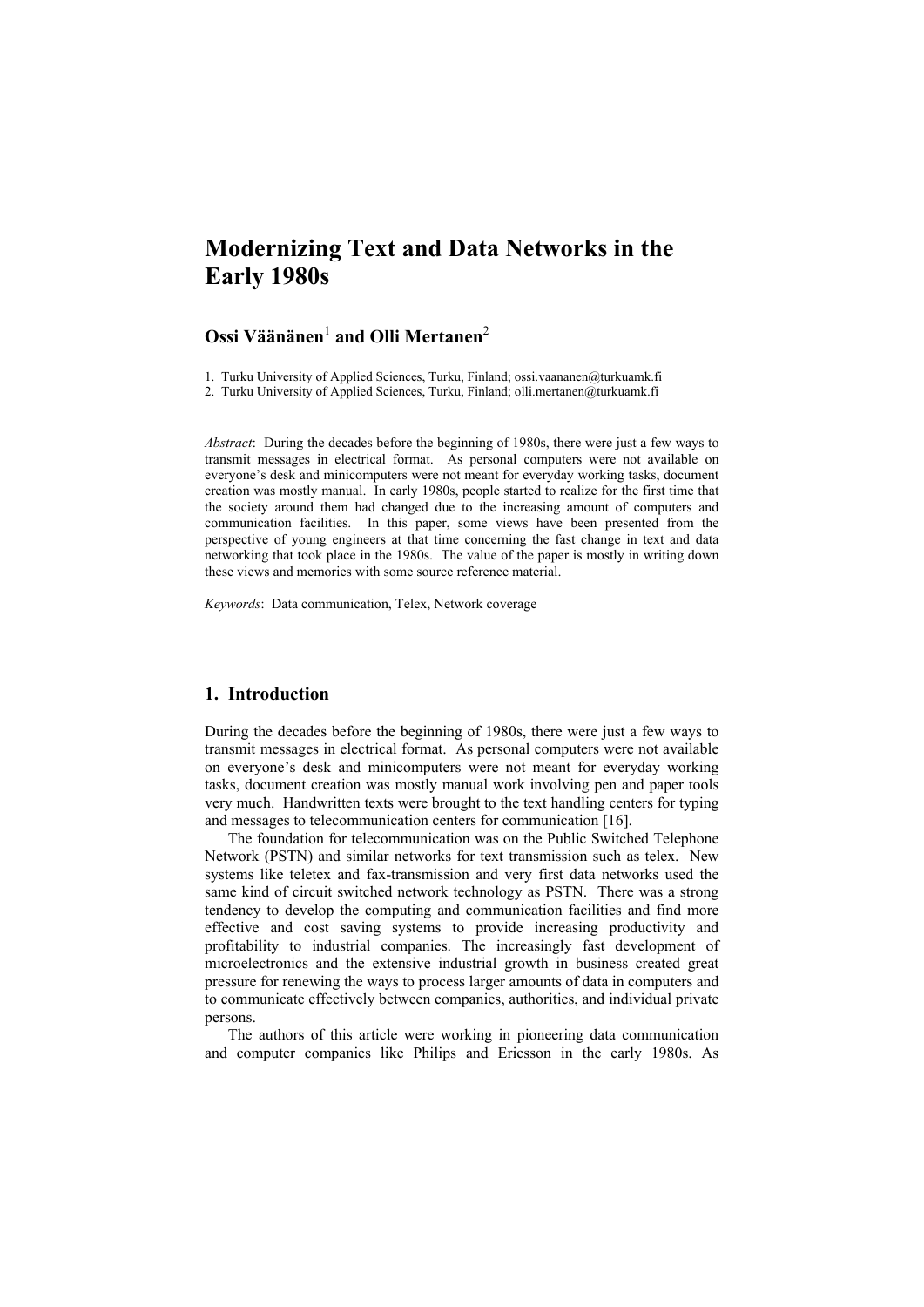# **Modernizing Text and Data Networks in the Early 1980s**

## $\textbf{O}$ ssi Väänänen<sup>1</sup> and Olli Mertanen<sup>2</sup>

1. Turku University of Applied Sciences, Turku, Finland; ossi.vaananen@turkuamk.fi

2. Turku University of Applied Sciences, Turku, Finland; olli.mertanen@turkuamk.fi

*Abstract*: During the decades before the beginning of 1980s, there were just a few ways to transmit messages in electrical format. As personal computers were not available on everyone's desk and minicomputers were not meant for everyday working tasks, document creation was mostly manual. In early 1980s, people started to realize for the first time that the society around them had changed due to the increasing amount of computers and communication facilities. In this paper, some views have been presented from the perspective of young engineers at that time concerning the fast change in text and data networking that took place in the 1980s. The value of the paper is mostly in writing down these views and memories with some source reference material.

*Keywords*: Data communication, Telex, Network coverage

## **1. Introduction**

During the decades before the beginning of 1980s, there were just a few ways to transmit messages in electrical format. As personal computers were not available on everyone's desk and minicomputers were not meant for everyday working tasks, document creation was mostly manual work involving pen and paper tools very much. Handwritten texts were brought to the text handling centers for typing and messages to telecommunication centers for communication [16].

The foundation for telecommunication was on the Public Switched Telephone Network (PSTN) and similar networks for text transmission such as telex. New systems like teletex and fax-transmission and very first data networks used the same kind of circuit switched network technology as PSTN. There was a strong tendency to develop the computing and communication facilities and find more effective and cost saving systems to provide increasing productivity and profitability to industrial companies. The increasingly fast development of microelectronics and the extensive industrial growth in business created great pressure for renewing the ways to process larger amounts of data in computers and to communicate effectively between companies, authorities, and individual private persons.

The authors of this article were working in pioneering data communication and computer companies like Philips and Ericsson in the early 1980s. As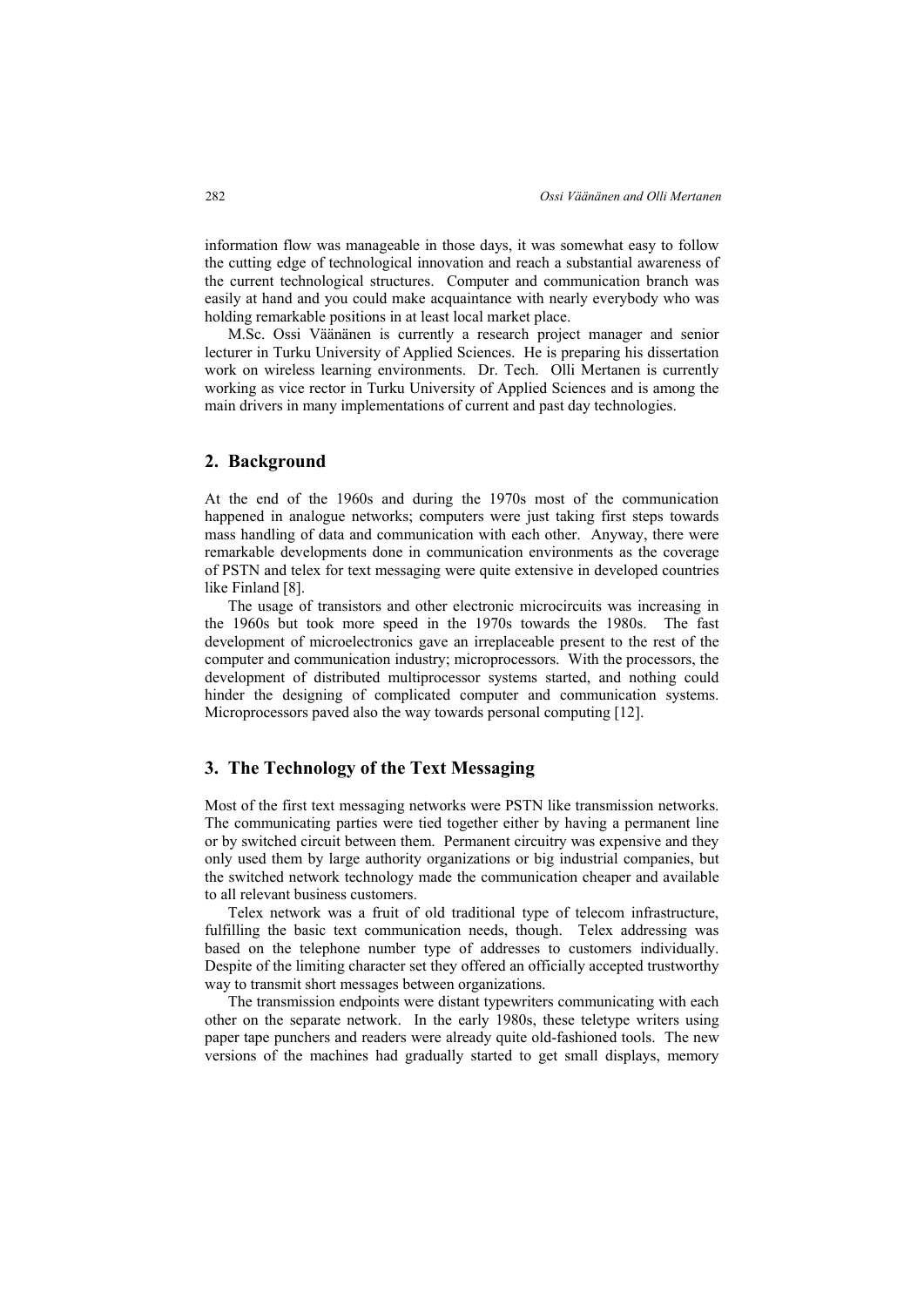information flow was manageable in those days, it was somewhat easy to follow the cutting edge of technological innovation and reach a substantial awareness of the current technological structures. Computer and communication branch was easily at hand and you could make acquaintance with nearly everybody who was holding remarkable positions in at least local market place.

M.Sc. Ossi Väänänen is currently a research project manager and senior lecturer in Turku University of Applied Sciences. He is preparing his dissertation work on wireless learning environments. Dr. Tech. Olli Mertanen is currently working as vice rector in Turku University of Applied Sciences and is among the main drivers in many implementations of current and past day technologies.

## **2. Background**

At the end of the 1960s and during the 1970s most of the communication happened in analogue networks; computers were just taking first steps towards mass handling of data and communication with each other. Anyway, there were remarkable developments done in communication environments as the coverage of PSTN and telex for text messaging were quite extensive in developed countries like Finland [8].

The usage of transistors and other electronic microcircuits was increasing in the 1960s but took more speed in the 1970s towards the 1980s. The fast development of microelectronics gave an irreplaceable present to the rest of the computer and communication industry; microprocessors. With the processors, the development of distributed multiprocessor systems started, and nothing could hinder the designing of complicated computer and communication systems. Microprocessors paved also the way towards personal computing [12].

## **3. The Technology of the Text Messaging**

Most of the first text messaging networks were PSTN like transmission networks. The communicating parties were tied together either by having a permanent line or by switched circuit between them. Permanent circuitry was expensive and they only used them by large authority organizations or big industrial companies, but the switched network technology made the communication cheaper and available to all relevant business customers.

Telex network was a fruit of old traditional type of telecom infrastructure, fulfilling the basic text communication needs, though. Telex addressing was based on the telephone number type of addresses to customers individually. Despite of the limiting character set they offered an officially accepted trustworthy way to transmit short messages between organizations.

The transmission endpoints were distant typewriters communicating with each other on the separate network. In the early 1980s, these teletype writers using paper tape punchers and readers were already quite old-fashioned tools. The new versions of the machines had gradually started to get small displays, memory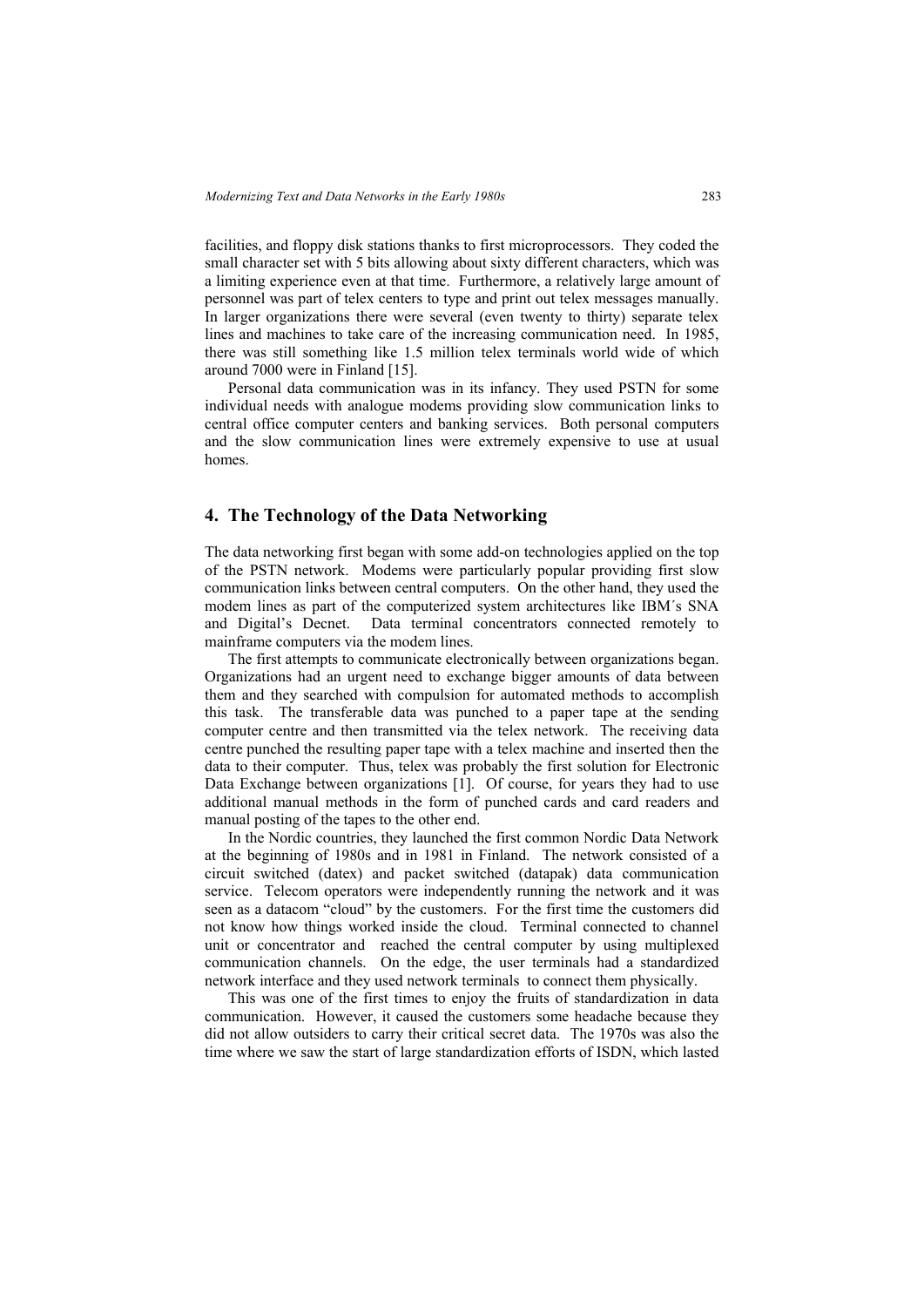facilities, and floppy disk stations thanks to first microprocessors. They coded the small character set with 5 bits allowing about sixty different characters, which was a limiting experience even at that time. Furthermore, a relatively large amount of personnel was part of telex centers to type and print out telex messages manually. In larger organizations there were several (even twenty to thirty) separate telex lines and machines to take care of the increasing communication need. In 1985, there was still something like 1.5 million telex terminals world wide of which around 7000 were in Finland [15].

Personal data communication was in its infancy. They used PSTN for some individual needs with analogue modems providing slow communication links to central office computer centers and banking services. Both personal computers and the slow communication lines were extremely expensive to use at usual homes.

## **4. The Technology of the Data Networking**

The data networking first began with some add-on technologies applied on the top of the PSTN network. Modems were particularly popular providing first slow communication links between central computers. On the other hand, they used the modem lines as part of the computerized system architectures like IBM´s SNA and Digital's Decnet. Data terminal concentrators connected remotely to mainframe computers via the modem lines.

The first attempts to communicate electronically between organizations began. Organizations had an urgent need to exchange bigger amounts of data between them and they searched with compulsion for automated methods to accomplish this task. The transferable data was punched to a paper tape at the sending computer centre and then transmitted via the telex network. The receiving data centre punched the resulting paper tape with a telex machine and inserted then the data to their computer. Thus, telex was probably the first solution for Electronic Data Exchange between organizations [1]. Of course, for years they had to use additional manual methods in the form of punched cards and card readers and manual posting of the tapes to the other end.

In the Nordic countries, they launched the first common Nordic Data Network at the beginning of 1980s and in 1981 in Finland. The network consisted of a circuit switched (datex) and packet switched (datapak) data communication service. Telecom operators were independently running the network and it was seen as a datacom "cloud" by the customers. For the first time the customers did not know how things worked inside the cloud. Terminal connected to channel unit or concentrator and reached the central computer by using multiplexed communication channels. On the edge, the user terminals had a standardized network interface and they used network terminals to connect them physically.

This was one of the first times to enjoy the fruits of standardization in data communication. However, it caused the customers some headache because they did not allow outsiders to carry their critical secret data. The 1970s was also the time where we saw the start of large standardization efforts of ISDN, which lasted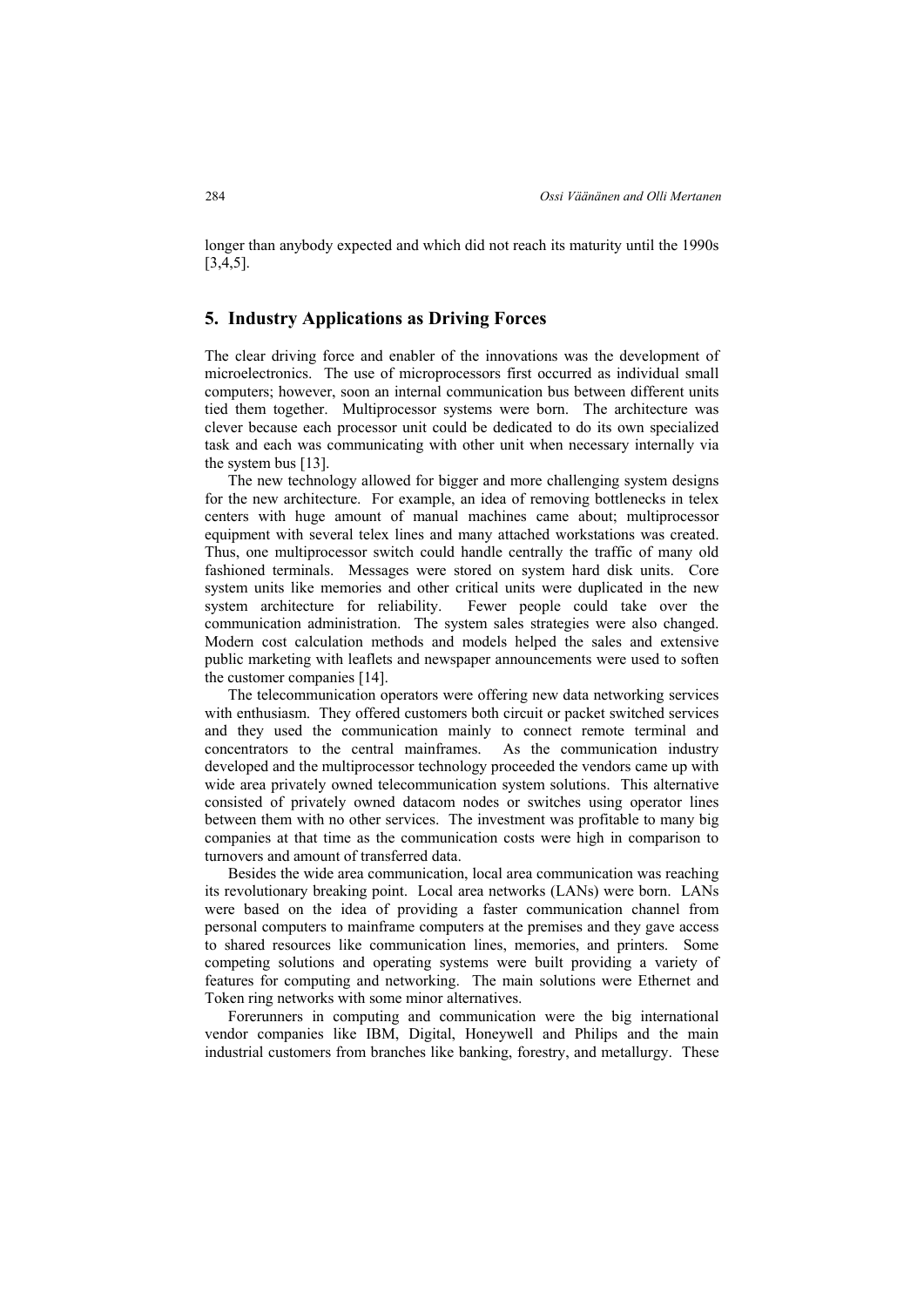longer than anybody expected and which did not reach its maturity until the 1990s [3,4,5].

## **5. Industry Applications as Driving Forces**

The clear driving force and enabler of the innovations was the development of microelectronics. The use of microprocessors first occurred as individual small computers; however, soon an internal communication bus between different units tied them together. Multiprocessor systems were born. The architecture was clever because each processor unit could be dedicated to do its own specialized task and each was communicating with other unit when necessary internally via the system bus [13].

The new technology allowed for bigger and more challenging system designs for the new architecture. For example, an idea of removing bottlenecks in telex centers with huge amount of manual machines came about; multiprocessor equipment with several telex lines and many attached workstations was created. Thus, one multiprocessor switch could handle centrally the traffic of many old fashioned terminals. Messages were stored on system hard disk units. Core system units like memories and other critical units were duplicated in the new system architecture for reliability. Fewer people could take over the communication administration. The system sales strategies were also changed. Modern cost calculation methods and models helped the sales and extensive public marketing with leaflets and newspaper announcements were used to soften the customer companies [14].

The telecommunication operators were offering new data networking services with enthusiasm. They offered customers both circuit or packet switched services and they used the communication mainly to connect remote terminal and concentrators to the central mainframes. As the communication industry developed and the multiprocessor technology proceeded the vendors came up with wide area privately owned telecommunication system solutions. This alternative consisted of privately owned datacom nodes or switches using operator lines between them with no other services. The investment was profitable to many big companies at that time as the communication costs were high in comparison to turnovers and amount of transferred data.

Besides the wide area communication, local area communication was reaching its revolutionary breaking point. Local area networks (LANs) were born. LANs were based on the idea of providing a faster communication channel from personal computers to mainframe computers at the premises and they gave access to shared resources like communication lines, memories, and printers. Some competing solutions and operating systems were built providing a variety of features for computing and networking. The main solutions were Ethernet and Token ring networks with some minor alternatives.

Forerunners in computing and communication were the big international vendor companies like IBM, Digital, Honeywell and Philips and the main industrial customers from branches like banking, forestry, and metallurgy. These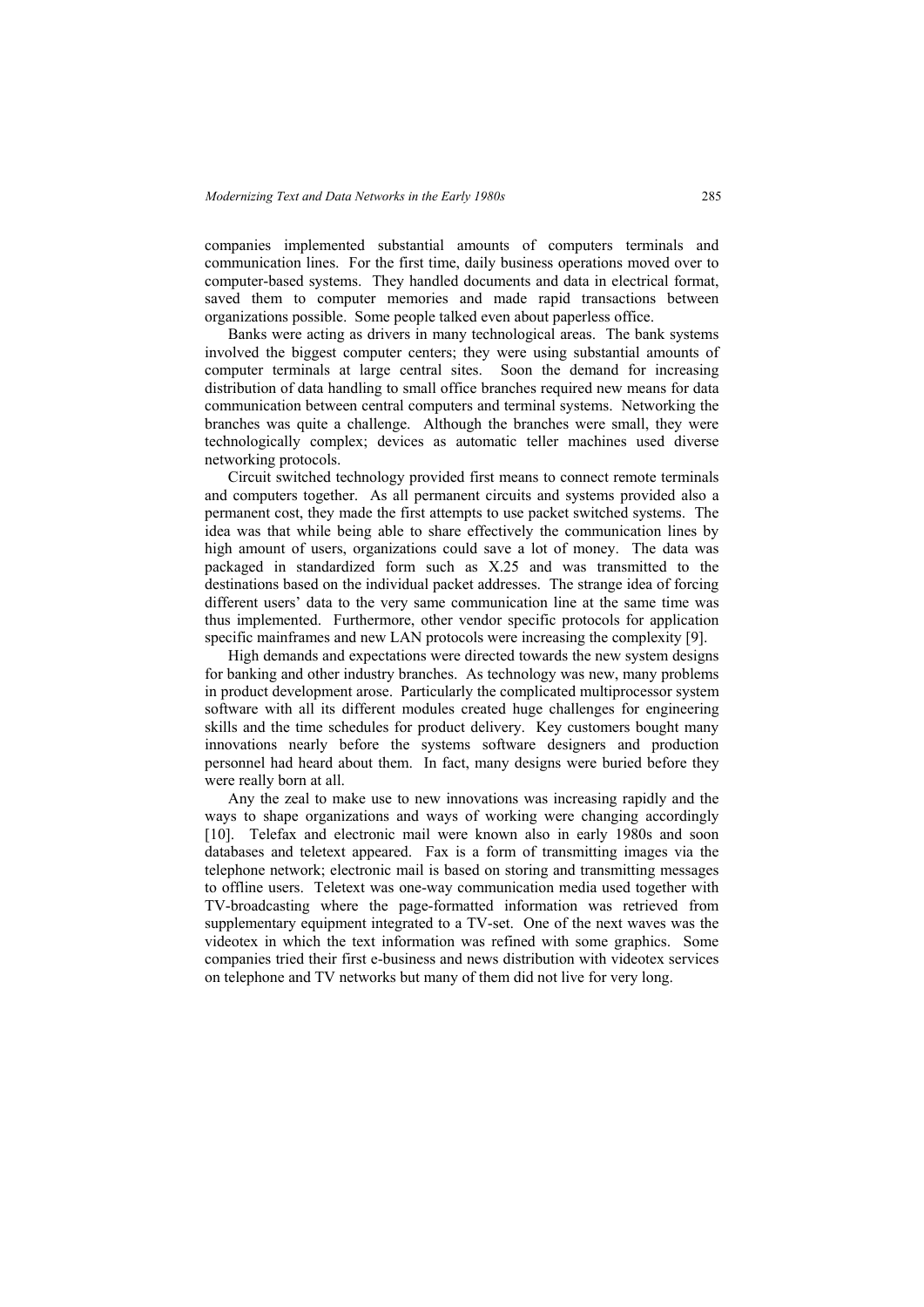companies implemented substantial amounts of computers terminals and communication lines. For the first time, daily business operations moved over to computer-based systems. They handled documents and data in electrical format, saved them to computer memories and made rapid transactions between organizations possible. Some people talked even about paperless office.

Banks were acting as drivers in many technological areas. The bank systems involved the biggest computer centers; they were using substantial amounts of computer terminals at large central sites. Soon the demand for increasing distribution of data handling to small office branches required new means for data communication between central computers and terminal systems. Networking the branches was quite a challenge. Although the branches were small, they were technologically complex; devices as automatic teller machines used diverse networking protocols.

Circuit switched technology provided first means to connect remote terminals and computers together. As all permanent circuits and systems provided also a permanent cost, they made the first attempts to use packet switched systems. The idea was that while being able to share effectively the communication lines by high amount of users, organizations could save a lot of money. The data was packaged in standardized form such as X.25 and was transmitted to the destinations based on the individual packet addresses. The strange idea of forcing different users' data to the very same communication line at the same time was thus implemented. Furthermore, other vendor specific protocols for application specific mainframes and new LAN protocols were increasing the complexity [9].

High demands and expectations were directed towards the new system designs for banking and other industry branches. As technology was new, many problems in product development arose. Particularly the complicated multiprocessor system software with all its different modules created huge challenges for engineering skills and the time schedules for product delivery. Key customers bought many innovations nearly before the systems software designers and production personnel had heard about them. In fact, many designs were buried before they were really born at all.

Any the zeal to make use to new innovations was increasing rapidly and the ways to shape organizations and ways of working were changing accordingly [10]. Telefax and electronic mail were known also in early 1980s and soon databases and teletext appeared. Fax is a form of transmitting images via the telephone network; electronic mail is based on storing and transmitting messages to offline users. Teletext was one-way communication media used together with TV-broadcasting where the page-formatted information was retrieved from supplementary equipment integrated to a TV-set. One of the next waves was the videotex in which the text information was refined with some graphics. Some companies tried their first e-business and news distribution with videotex services on telephone and TV networks but many of them did not live for very long.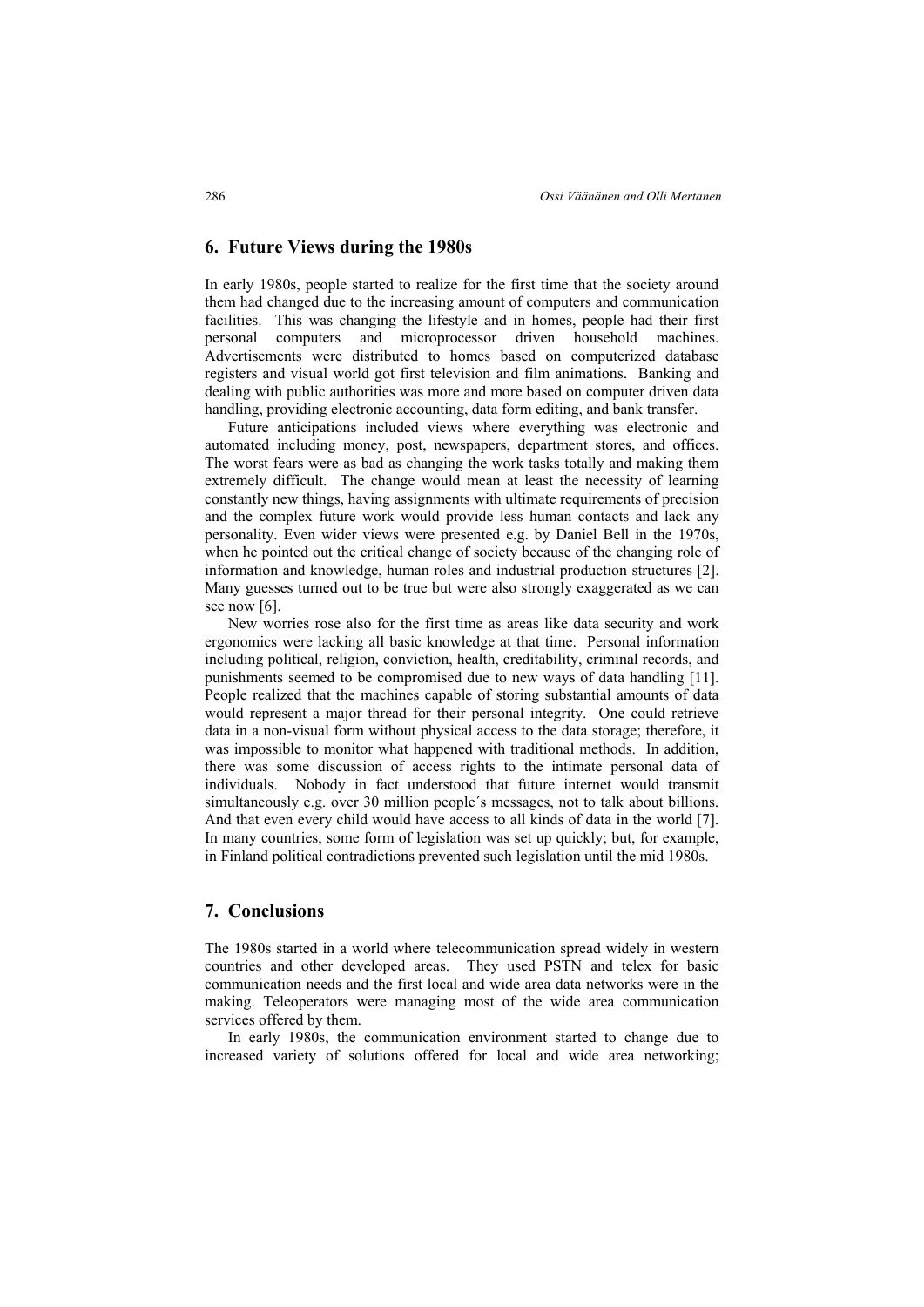## **6. Future Views during the 1980s**

In early 1980s, people started to realize for the first time that the society around them had changed due to the increasing amount of computers and communication facilities. This was changing the lifestyle and in homes, people had their first personal computers and microprocessor driven household machines. Advertisements were distributed to homes based on computerized database registers and visual world got first television and film animations. Banking and dealing with public authorities was more and more based on computer driven data handling, providing electronic accounting, data form editing, and bank transfer.

Future anticipations included views where everything was electronic and automated including money, post, newspapers, department stores, and offices. The worst fears were as bad as changing the work tasks totally and making them extremely difficult. The change would mean at least the necessity of learning constantly new things, having assignments with ultimate requirements of precision and the complex future work would provide less human contacts and lack any personality. Even wider views were presented e.g. by Daniel Bell in the 1970s, when he pointed out the critical change of society because of the changing role of information and knowledge, human roles and industrial production structures [2]. Many guesses turned out to be true but were also strongly exaggerated as we can see now [6].

New worries rose also for the first time as areas like data security and work ergonomics were lacking all basic knowledge at that time. Personal information including political, religion, conviction, health, creditability, criminal records, and punishments seemed to be compromised due to new ways of data handling [11]. People realized that the machines capable of storing substantial amounts of data would represent a major thread for their personal integrity. One could retrieve data in a non-visual form without physical access to the data storage; therefore, it was impossible to monitor what happened with traditional methods. In addition, there was some discussion of access rights to the intimate personal data of individuals. Nobody in fact understood that future internet would transmit simultaneously e.g. over 30 million people´s messages, not to talk about billions. And that even every child would have access to all kinds of data in the world [7]. In many countries, some form of legislation was set up quickly; but, for example, in Finland political contradictions prevented such legislation until the mid 1980s.

### **7. Conclusions**

The 1980s started in a world where telecommunication spread widely in western countries and other developed areas. They used PSTN and telex for basic communication needs and the first local and wide area data networks were in the making. Teleoperators were managing most of the wide area communication services offered by them.

In early 1980s, the communication environment started to change due to increased variety of solutions offered for local and wide area networking;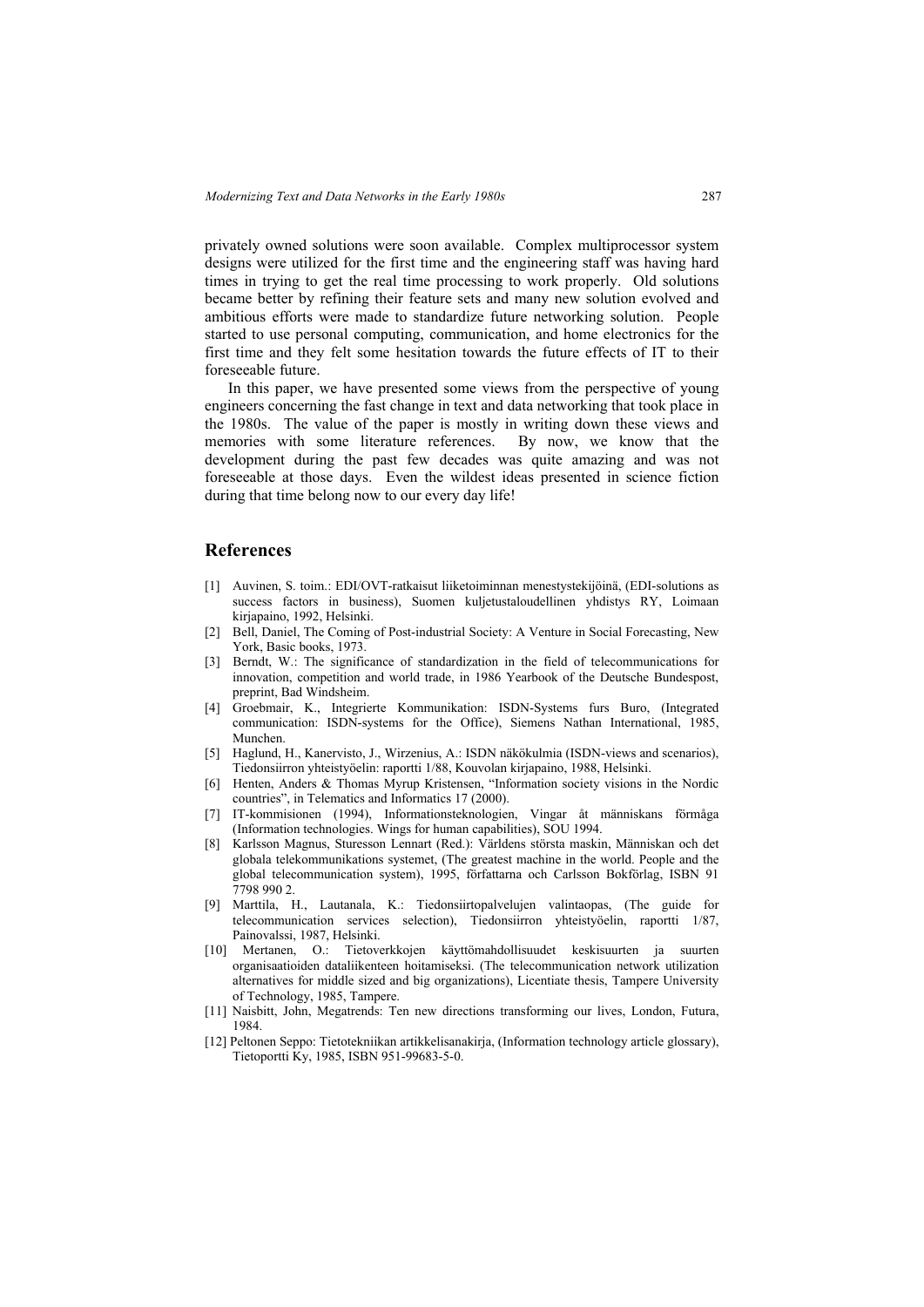privately owned solutions were soon available. Complex multiprocessor system designs were utilized for the first time and the engineering staff was having hard times in trying to get the real time processing to work properly. Old solutions became better by refining their feature sets and many new solution evolved and ambitious efforts were made to standardize future networking solution. People started to use personal computing, communication, and home electronics for the first time and they felt some hesitation towards the future effects of IT to their foreseeable future.

In this paper, we have presented some views from the perspective of young engineers concerning the fast change in text and data networking that took place in the 1980s. The value of the paper is mostly in writing down these views and memories with some literature references. By now, we know that the development during the past few decades was quite amazing and was not foreseeable at those days. Even the wildest ideas presented in science fiction during that time belong now to our every day life!

## **References**

- [1] Auvinen, S. toim.: EDI/OVT-ratkaisut liiketoiminnan menestystekijöinä, (EDI-solutions as success factors in business), Suomen kuljetustaloudellinen yhdistys RY, Loimaan kirjapaino, 1992, Helsinki.
- [2] Bell, Daniel, The Coming of Post-industrial Society: A Venture in Social Forecasting, New York, Basic books, 1973.
- [3] Berndt, W.: The significance of standardization in the field of telecommunications for innovation, competition and world trade, in 1986 Yearbook of the Deutsche Bundespost, preprint, Bad Windsheim.
- [4] Groebmair, K., Integrierte Kommunikation: ISDN-Systems furs Buro, (Integrated communication: ISDN-systems for the Office), Siemens Nathan International, 1985, Munchen.
- [5] Haglund, H., Kanervisto, J., Wirzenius, A.: ISDN näkökulmia (ISDN-views and scenarios), Tiedonsiirron yhteistyöelin: raportti 1/88, Kouvolan kirjapaino, 1988, Helsinki.
- [6] Henten, Anders & Thomas Myrup Kristensen, "Information society visions in the Nordic countries", in Telematics and Informatics 17 (2000).
- [7] IT-kommisionen (1994), Informationsteknologien, Vingar åt människans förmåga (Information technologies. Wings for human capabilities), SOU 1994.
- [8] Karlsson Magnus, Sturesson Lennart (Red.): Världens största maskin, Människan och det globala telekommunikations systemet, (The greatest machine in the world. People and the global telecommunication system), 1995, författarna och Carlsson Bokförlag, ISBN 91 7798 990 2.
- [9] Marttila, H., Lautanala, K.: Tiedonsiirtopalvelujen valintaopas, (The guide for telecommunication services selection), Tiedonsiirron yhteistyöelin, raportti 1/87, Painovalssi, 1987, Helsinki.
- [10] Mertanen, O.: Tietoverkkojen käyttömahdollisuudet keskisuurten ja suurten organisaatioiden dataliikenteen hoitamiseksi. (The telecommunication network utilization alternatives for middle sized and big organizations), Licentiate thesis, Tampere University of Technology, 1985, Tampere.
- [11] Naisbitt, John, Megatrends: Ten new directions transforming our lives, London, Futura, 1984.
- [12] Peltonen Seppo: Tietotekniikan artikkelisanakirja, (Information technology article glossary), Tietoportti Ky, 1985, ISBN 951-99683-5-0.